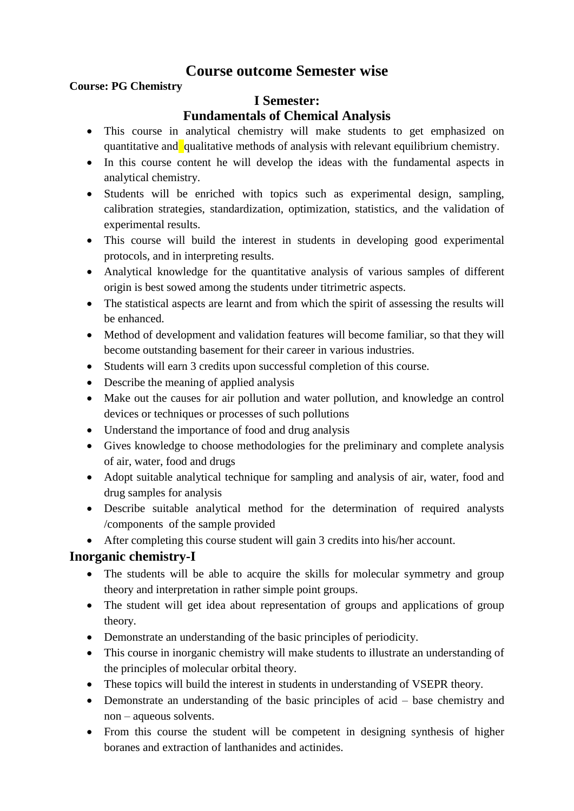# **Course outcome Semester wise**

#### **Course: PG Chemistry**

### **I Semester:**

## **Fundamentals of Chemical Analysis**

- This course in analytical chemistry will make students to get emphasized on quantitative and qualitative methods of analysis with relevant equilibrium chemistry.
- In this course content he will develop the ideas with the fundamental aspects in analytical chemistry.
- Students will be enriched with topics such as experimental design, sampling, calibration strategies, standardization, optimization, statistics, and the validation of experimental results.
- This course will build the interest in students in developing good experimental protocols, and in interpreting results.
- Analytical knowledge for the quantitative analysis of various samples of different origin is best sowed among the students under titrimetric aspects.
- The statistical aspects are learnt and from which the spirit of assessing the results will be enhanced.
- Method of development and validation features will become familiar, so that they will become outstanding basement for their career in various industries.
- Students will earn 3 credits upon successful completion of this course.
- Describe the meaning of applied analysis
- Make out the causes for air pollution and water pollution, and knowledge an control devices or techniques or processes of such pollutions
- Understand the importance of food and drug analysis
- Gives knowledge to choose methodologies for the preliminary and complete analysis of air, water, food and drugs
- Adopt suitable analytical technique for sampling and analysis of air, water, food and drug samples for analysis
- Describe suitable analytical method for the determination of required analysts /components of the sample provided
- After completing this course student will gain 3 credits into his/her account.

## **Inorganic chemistry-I**

- The students will be able to acquire the skills for molecular symmetry and group theory and interpretation in rather simple point groups.
- The student will get idea about representation of groups and applications of group theory.
- Demonstrate an understanding of the basic principles of periodicity.
- This course in inorganic chemistry will make students to illustrate an understanding of the principles of molecular orbital theory.
- These topics will build the interest in students in understanding of VSEPR theory.
- Demonstrate an understanding of the basic principles of acid base chemistry and non – aqueous solvents.
- From this course the student will be competent in designing synthesis of higher boranes and extraction of lanthanides and actinides.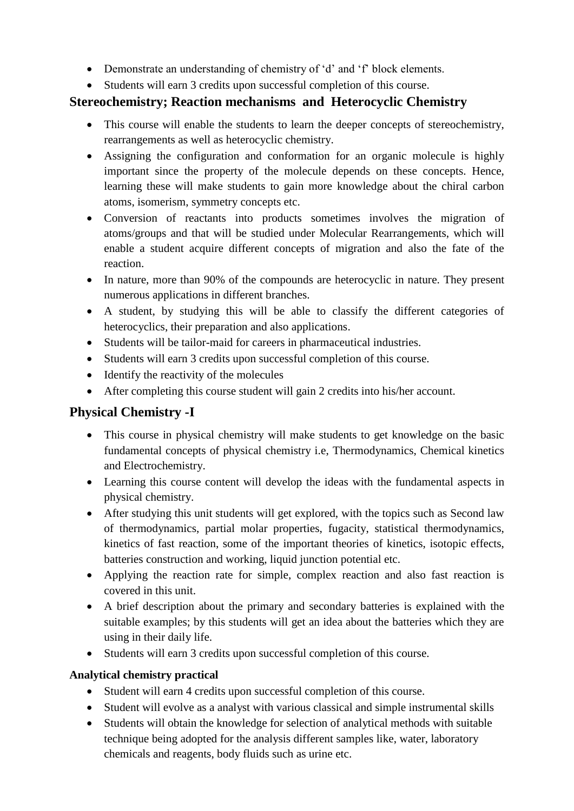- Demonstrate an understanding of chemistry of 'd' and 'f' block elements.
- Students will earn 3 credits upon successful completion of this course.

## **Stereochemistry; Reaction mechanisms and Heterocyclic Chemistry**

- This course will enable the students to learn the deeper concepts of stereochemistry, rearrangements as well as heterocyclic chemistry.
- Assigning the configuration and conformation for an organic molecule is highly important since the property of the molecule depends on these concepts. Hence, learning these will make students to gain more knowledge about the chiral carbon atoms, isomerism, symmetry concepts etc.
- Conversion of reactants into products sometimes involves the migration of atoms/groups and that will be studied under Molecular Rearrangements, which will enable a student acquire different concepts of migration and also the fate of the reaction.
- In nature, more than 90% of the compounds are heterocyclic in nature. They present numerous applications in different branches.
- A student, by studying this will be able to classify the different categories of heterocyclics, their preparation and also applications.
- Students will be tailor-maid for careers in pharmaceutical industries.
- Students will earn 3 credits upon successful completion of this course.
- Identify the reactivity of the molecules
- After completing this course student will gain 2 credits into his/her account.

## **Physical Chemistry -I**

- This course in physical chemistry will make students to get knowledge on the basic fundamental concepts of physical chemistry i.e, Thermodynamics, Chemical kinetics and Electrochemistry.
- Learning this course content will develop the ideas with the fundamental aspects in physical chemistry.
- After studying this unit students will get explored, with the topics such as Second law of thermodynamics, partial molar properties, fugacity, statistical thermodynamics, kinetics of fast reaction, some of the important theories of kinetics, isotopic effects, batteries construction and working, liquid junction potential etc.
- Applying the reaction rate for simple, complex reaction and also fast reaction is covered in this unit.
- A brief description about the primary and secondary batteries is explained with the suitable examples; by this students will get an idea about the batteries which they are using in their daily life.
- Students will earn 3 credits upon successful completion of this course.

#### **Analytical chemistry practical**

- Student will earn 4 credits upon successful completion of this course.
- Student will evolve as a analyst with various classical and simple instrumental skills
- Students will obtain the knowledge for selection of analytical methods with suitable technique being adopted for the analysis different samples like, water, laboratory chemicals and reagents, body fluids such as urine etc.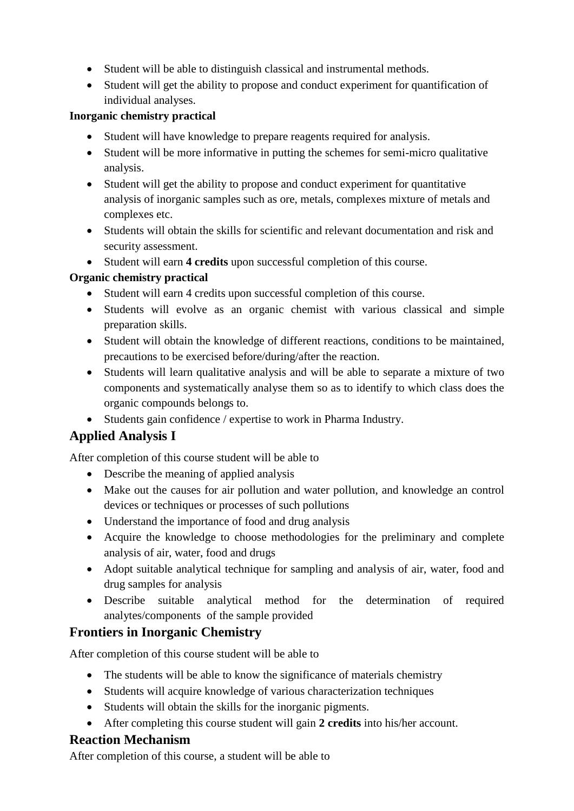- Student will be able to distinguish classical and instrumental methods.
- Student will get the ability to propose and conduct experiment for quantification of individual analyses.

#### **Inorganic chemistry practical**

- Student will have knowledge to prepare reagents required for analysis.
- Student will be more informative in putting the schemes for semi-micro qualitative analysis.
- Student will get the ability to propose and conduct experiment for quantitative analysis of inorganic samples such as ore, metals, complexes mixture of metals and complexes etc.
- Students will obtain the skills for scientific and relevant documentation and risk and security assessment.
- Student will earn **4 credits** upon successful completion of this course.

## **Organic chemistry practical**

- Student will earn 4 credits upon successful completion of this course.
- Students will evolve as an organic chemist with various classical and simple preparation skills.
- Student will obtain the knowledge of different reactions, conditions to be maintained, precautions to be exercised before/during/after the reaction.
- Students will learn qualitative analysis and will be able to separate a mixture of two components and systematically analyse them so as to identify to which class does the organic compounds belongs to.
- Students gain confidence / expertise to work in Pharma Industry.

# **Applied Analysis I**

After completion of this course student will be able to

- Describe the meaning of applied analysis
- Make out the causes for air pollution and water pollution, and knowledge an control devices or techniques or processes of such pollutions
- Understand the importance of food and drug analysis
- Acquire the knowledge to choose methodologies for the preliminary and complete analysis of air, water, food and drugs
- Adopt suitable analytical technique for sampling and analysis of air, water, food and drug samples for analysis
- Describe suitable analytical method for the determination of required analytes/components of the sample provided

# **Frontiers in Inorganic Chemistry**

After completion of this course student will be able to

- The students will be able to know the significance of materials chemistry
- Students will acquire knowledge of various characterization techniques
- Students will obtain the skills for the inorganic pigments.
- After completing this course student will gain **2 credits** into his/her account.

## **Reaction Mechanism**

After completion of this course, a student will be able to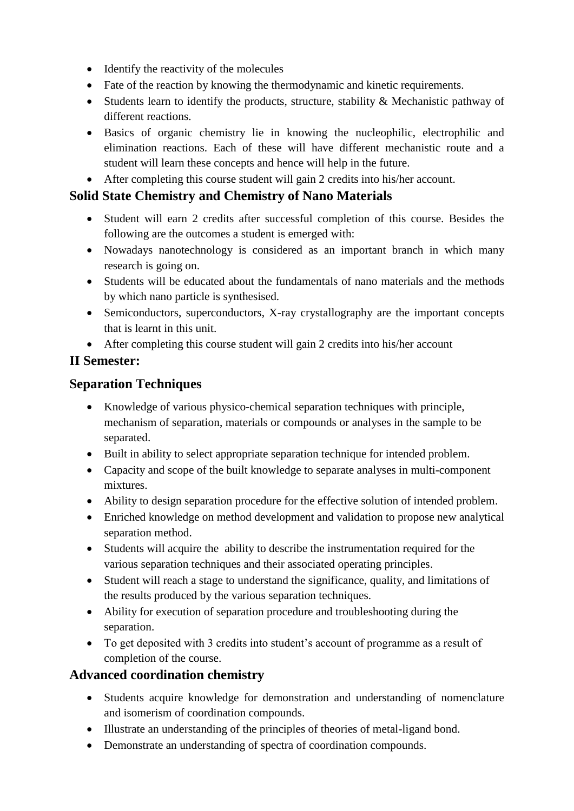- Identify the reactivity of the molecules
- Fate of the reaction by knowing the thermodynamic and kinetic requirements.
- Students learn to identify the products, structure, stability & Mechanistic pathway of different reactions.
- Basics of organic chemistry lie in knowing the nucleophilic, electrophilic and elimination reactions. Each of these will have different mechanistic route and a student will learn these concepts and hence will help in the future.
- After completing this course student will gain 2 credits into his/her account.

# **Solid State Chemistry and Chemistry of Nano Materials**

- Student will earn 2 credits after successful completion of this course. Besides the following are the outcomes a student is emerged with:
- Nowadays nanotechnology is considered as an important branch in which many research is going on.
- Students will be educated about the fundamentals of nano materials and the methods by which nano particle is synthesised.
- Semiconductors, superconductors, X-ray crystallography are the important concepts that is learnt in this unit.
- After completing this course student will gain 2 credits into his/her account

# **II Semester:**

## **Separation Techniques**

- Knowledge of various physico-chemical separation techniques with principle, mechanism of separation, materials or compounds or analyses in the sample to be separated.
- Built in ability to select appropriate separation technique for intended problem.
- Capacity and scope of the built knowledge to separate analyses in multi-component mixtures.
- Ability to design separation procedure for the effective solution of intended problem.
- Enriched knowledge on method development and validation to propose new analytical separation method.
- Students will acquire the ability to describe the instrumentation required for the various separation techniques and their associated operating principles.
- Student will reach a stage to understand the significance, quality, and limitations of the results produced by the various separation techniques.
- Ability for execution of separation procedure and troubleshooting during the separation.
- To get deposited with 3 credits into student's account of programme as a result of completion of the course.

## **Advanced coordination chemistry**

- Students acquire knowledge for demonstration and understanding of nomenclature and isomerism of coordination compounds.
- Illustrate an understanding of the principles of theories of metal-ligand bond.
- Demonstrate an understanding of spectra of coordination compounds.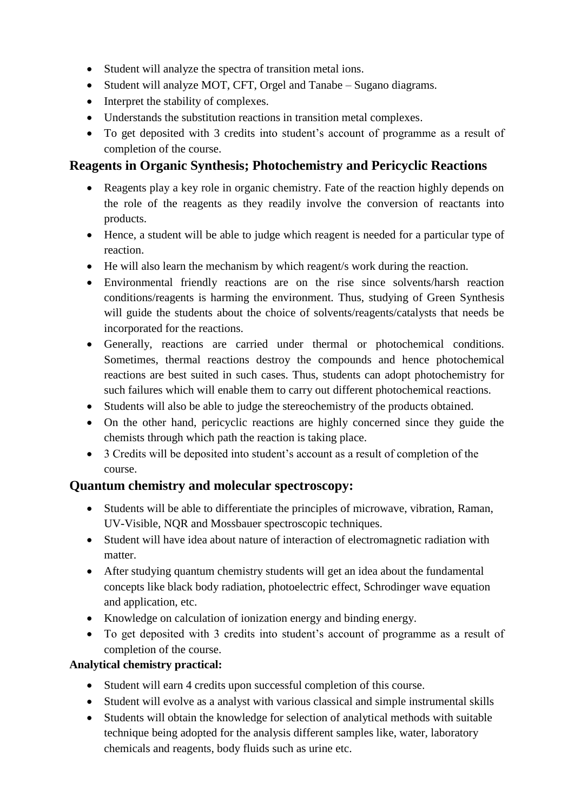- Student will analyze the spectra of transition metal ions.
- Student will analyze MOT, CFT, Orgel and Tanabe Sugano diagrams.
- Interpret the stability of complexes.
- Understands the substitution reactions in transition metal complexes.
- To get deposited with 3 credits into student's account of programme as a result of completion of the course.

## **Reagents in Organic Synthesis; Photochemistry and Pericyclic Reactions**

- Reagents play a key role in organic chemistry. Fate of the reaction highly depends on the role of the reagents as they readily involve the conversion of reactants into products.
- Hence, a student will be able to judge which reagent is needed for a particular type of reaction.
- He will also learn the mechanism by which reagent/s work during the reaction.
- Environmental friendly reactions are on the rise since solvents/harsh reaction conditions/reagents is harming the environment. Thus, studying of Green Synthesis will guide the students about the choice of solvents/reagents/catalysts that needs be incorporated for the reactions.
- Generally, reactions are carried under thermal or photochemical conditions. Sometimes, thermal reactions destroy the compounds and hence photochemical reactions are best suited in such cases. Thus, students can adopt photochemistry for such failures which will enable them to carry out different photochemical reactions.
- Students will also be able to judge the stereochemistry of the products obtained.
- On the other hand, pericyclic reactions are highly concerned since they guide the chemists through which path the reaction is taking place.
- 3 Credits will be deposited into student's account as a result of completion of the course.

## **Quantum chemistry and molecular spectroscopy:**

- Students will be able to differentiate the principles of microwave, vibration, Raman, UV-Visible, NQR and Mossbauer spectroscopic techniques.
- Student will have idea about nature of interaction of electromagnetic radiation with matter.
- After studying quantum chemistry students will get an idea about the fundamental concepts like black body radiation, photoelectric effect, Schrodinger wave equation and application, etc.
- Knowledge on calculation of ionization energy and binding energy.
- To get deposited with 3 credits into student's account of programme as a result of completion of the course.

#### **Analytical chemistry practical:**

- Student will earn 4 credits upon successful completion of this course.
- Student will evolve as a analyst with various classical and simple instrumental skills
- Students will obtain the knowledge for selection of analytical methods with suitable technique being adopted for the analysis different samples like, water, laboratory chemicals and reagents, body fluids such as urine etc.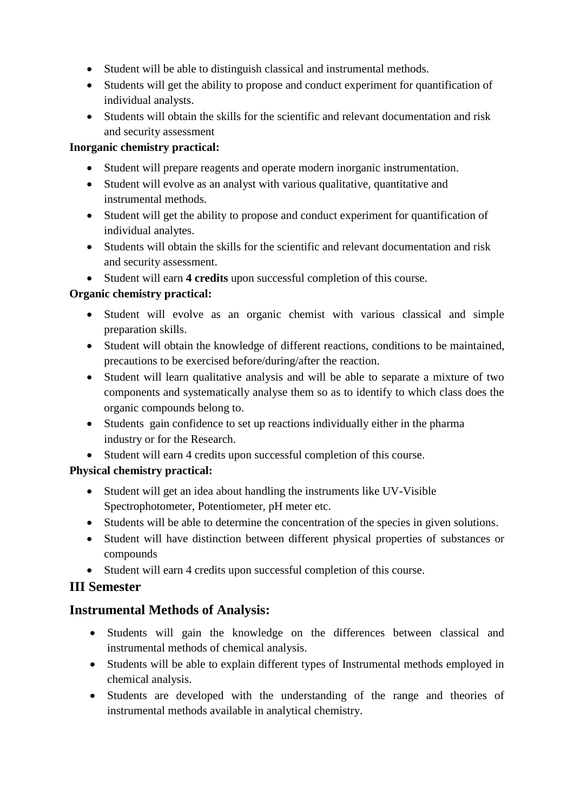- Student will be able to distinguish classical and instrumental methods.
- Students will get the ability to propose and conduct experiment for quantification of individual analysts.
- Students will obtain the skills for the scientific and relevant documentation and risk and security assessment

### **Inorganic chemistry practical:**

- Student will prepare reagents and operate modern inorganic instrumentation.
- Student will evolve as an analyst with various qualitative, quantitative and instrumental methods.
- Student will get the ability to propose and conduct experiment for quantification of individual analytes.
- Students will obtain the skills for the scientific and relevant documentation and risk and security assessment.
- Student will earn **4 credits** upon successful completion of this course.

## **Organic chemistry practical:**

- Student will evolve as an organic chemist with various classical and simple preparation skills.
- Student will obtain the knowledge of different reactions, conditions to be maintained, precautions to be exercised before/during/after the reaction.
- Student will learn qualitative analysis and will be able to separate a mixture of two components and systematically analyse them so as to identify to which class does the organic compounds belong to.
- Students gain confidence to set up reactions individually either in the pharma industry or for the Research.
- Student will earn 4 credits upon successful completion of this course.

## **Physical chemistry practical:**

- Student will get an idea about handling the instruments like UV-Visible Spectrophotometer, Potentiometer, pH meter etc.
- Students will be able to determine the concentration of the species in given solutions.
- Student will have distinction between different physical properties of substances or compounds
- Student will earn 4 credits upon successful completion of this course.

# **III Semester**

# **Instrumental Methods of Analysis:**

- Students will gain the knowledge on the differences between classical and instrumental methods of chemical analysis.
- Students will be able to explain different types of Instrumental methods employed in chemical analysis.
- Students are developed with the understanding of the range and theories of instrumental methods available in analytical chemistry.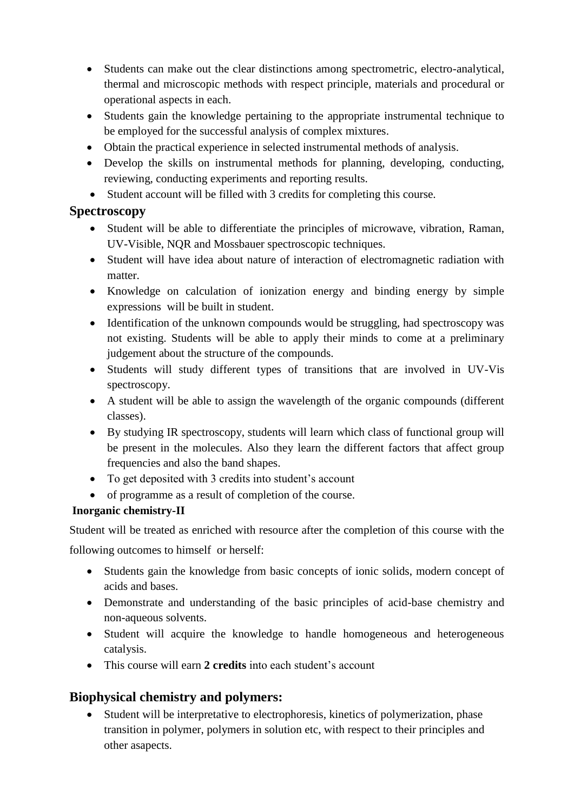- Students can make out the clear distinctions among spectrometric, electro-analytical, thermal and microscopic methods with respect principle, materials and procedural or operational aspects in each.
- Students gain the knowledge pertaining to the appropriate instrumental technique to be employed for the successful analysis of complex mixtures.
- Obtain the practical experience in selected instrumental methods of analysis.
- Develop the skills on instrumental methods for planning, developing, conducting, reviewing, conducting experiments and reporting results.
- Student account will be filled with 3 credits for completing this course.

## **Spectroscopy**

- Student will be able to differentiate the principles of microwave, vibration, Raman, UV-Visible, NQR and Mossbauer spectroscopic techniques.
- Student will have idea about nature of interaction of electromagnetic radiation with matter.
- Knowledge on calculation of ionization energy and binding energy by simple expressions will be built in student.
- Identification of the unknown compounds would be struggling, had spectroscopy was not existing. Students will be able to apply their minds to come at a preliminary judgement about the structure of the compounds.
- Students will study different types of transitions that are involved in UV-Vis spectroscopy.
- A student will be able to assign the wavelength of the organic compounds (different classes).
- By studying IR spectroscopy, students will learn which class of functional group will be present in the molecules. Also they learn the different factors that affect group frequencies and also the band shapes.
- To get deposited with 3 credits into student's account
- of programme as a result of completion of the course.

## **Inorganic chemistry-II**

Student will be treated as enriched with resource after the completion of this course with the following outcomes to himself or herself:

- Students gain the knowledge from basic concepts of ionic solids, modern concept of acids and bases.
- Demonstrate and understanding of the basic principles of acid-base chemistry and non-aqueous solvents.
- Student will acquire the knowledge to handle homogeneous and heterogeneous catalysis.
- This course will earn **2 credits** into each student's account

# **Biophysical chemistry and polymers:**

 Student will be interpretative to electrophoresis, kinetics of polymerization, phase transition in polymer, polymers in solution etc, with respect to their principles and other asapects.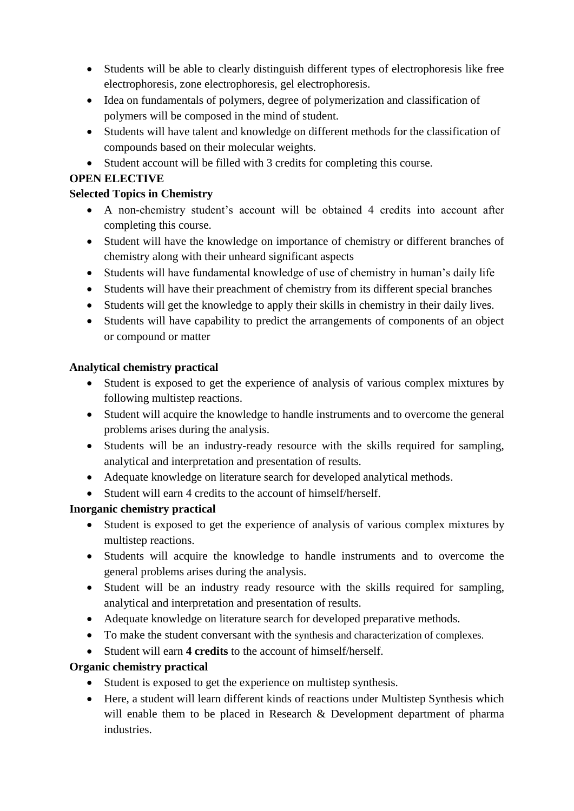- Students will be able to clearly distinguish different types of electrophoresis like free electrophoresis, zone electrophoresis, gel electrophoresis.
- Idea on fundamentals of polymers, degree of polymerization and classification of polymers will be composed in the mind of student.
- Students will have talent and knowledge on different methods for the classification of compounds based on their molecular weights.
- Student account will be filled with 3 credits for completing this course.

#### **OPEN ELECTIVE**

#### **Selected Topics in Chemistry**

- A non-chemistry student's account will be obtained 4 credits into account after completing this course.
- Student will have the knowledge on importance of chemistry or different branches of chemistry along with their unheard significant aspects
- Students will have fundamental knowledge of use of chemistry in human's daily life
- Students will have their preachment of chemistry from its different special branches
- Students will get the knowledge to apply their skills in chemistry in their daily lives.
- Students will have capability to predict the arrangements of components of an object or compound or matter

#### **Analytical chemistry practical**

- Student is exposed to get the experience of analysis of various complex mixtures by following multistep reactions.
- Student will acquire the knowledge to handle instruments and to overcome the general problems arises during the analysis.
- Students will be an industry-ready resource with the skills required for sampling, analytical and interpretation and presentation of results.
- Adequate knowledge on literature search for developed analytical methods.
- Student will earn 4 credits to the account of himself/herself.

#### **Inorganic chemistry practical**

- Student is exposed to get the experience of analysis of various complex mixtures by multistep reactions.
- Students will acquire the knowledge to handle instruments and to overcome the general problems arises during the analysis.
- Student will be an industry ready resource with the skills required for sampling, analytical and interpretation and presentation of results.
- Adequate knowledge on literature search for developed preparative methods.
- To make the student conversant with the synthesis and characterization of complexes.
- Student will earn **4 credits** to the account of himself/herself.

#### **Organic chemistry practical**

- Student is exposed to get the experience on multistep synthesis.
- Here, a student will learn different kinds of reactions under Multistep Synthesis which will enable them to be placed in Research & Development department of pharma industries.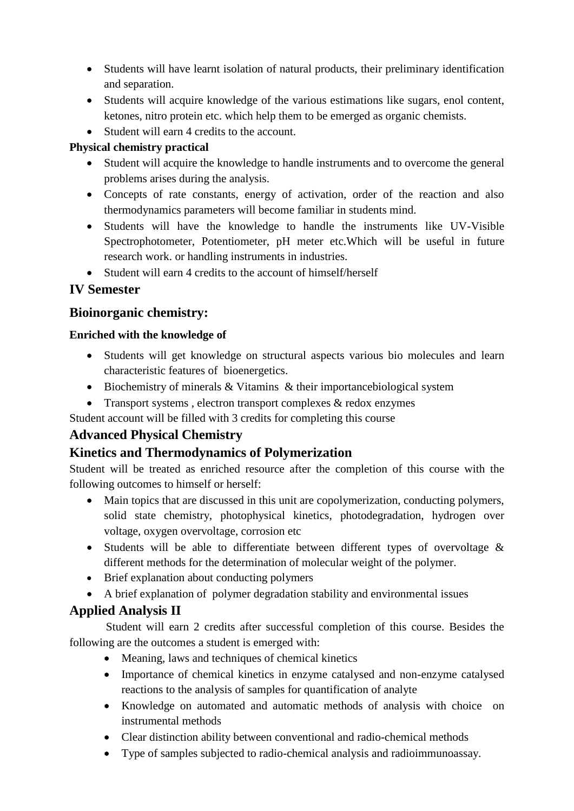- Students will have learnt isolation of natural products, their preliminary identification and separation.
- Students will acquire knowledge of the various estimations like sugars, enol content, ketones, nitro protein etc. which help them to be emerged as organic chemists.
- Student will earn 4 credits to the account.

### **Physical chemistry practical**

- Student will acquire the knowledge to handle instruments and to overcome the general problems arises during the analysis.
- Concepts of rate constants, energy of activation, order of the reaction and also thermodynamics parameters will become familiar in students mind.
- Students will have the knowledge to handle the instruments like UV-Visible Spectrophotometer, Potentiometer, pH meter etc.Which will be useful in future research work. or handling instruments in industries.
- Student will earn 4 credits to the account of himself/herself

## **IV Semester**

## **Bioinorganic chemistry:**

#### **Enriched with the knowledge of**

- Students will get knowledge on structural aspects various bio molecules and learn characteristic features of bioenergetics.
- Biochemistry of minerals & Vitamins & their importancebiological system
- Transport systems, electron transport complexes & redox enzymes

Student account will be filled with 3 credits for completing this course

# **Advanced Physical Chemistry**

## **Kinetics and Thermodynamics of Polymerization**

Student will be treated as enriched resource after the completion of this course with the following outcomes to himself or herself:

- Main topics that are discussed in this unit are copolymerization, conducting polymers, solid state chemistry, photophysical kinetics, photodegradation, hydrogen over voltage, oxygen overvoltage, corrosion etc
- Students will be able to differentiate between different types of overvoltage & different methods for the determination of molecular weight of the polymer.
- Brief explanation about conducting polymers
- A brief explanation of polymer degradation stability and environmental issues

## **Applied Analysis II**

Student will earn 2 credits after successful completion of this course. Besides the following are the outcomes a student is emerged with:

- Meaning, laws and techniques of chemical kinetics
- Importance of chemical kinetics in enzyme catalysed and non-enzyme catalysed reactions to the analysis of samples for quantification of analyte
- Knowledge on automated and automatic methods of analysis with choice on instrumental methods
- Clear distinction ability between conventional and radio-chemical methods
- Type of samples subjected to radio-chemical analysis and radioimmunoassay.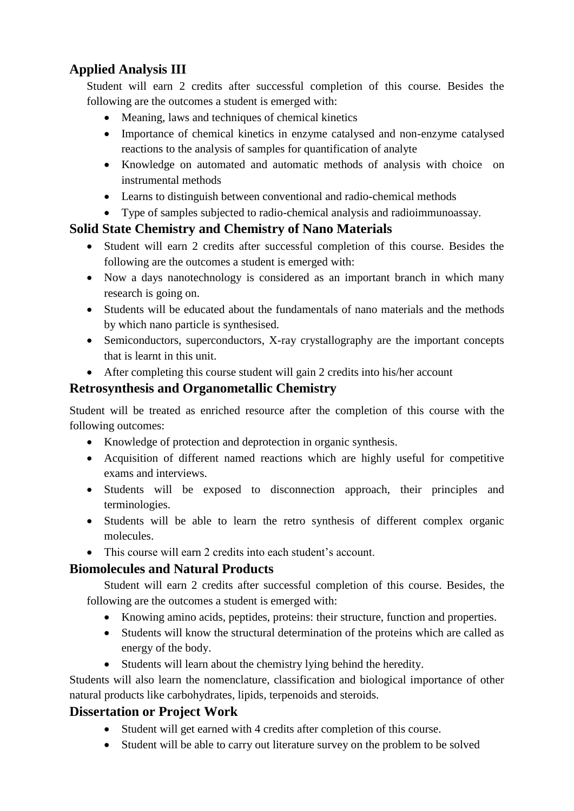# **Applied Analysis III**

Student will earn 2 credits after successful completion of this course. Besides the following are the outcomes a student is emerged with:

- Meaning, laws and techniques of chemical kinetics
- Importance of chemical kinetics in enzyme catalysed and non-enzyme catalysed reactions to the analysis of samples for quantification of analyte
- Knowledge on automated and automatic methods of analysis with choice on instrumental methods
- Learns to distinguish between conventional and radio-chemical methods
- Type of samples subjected to radio-chemical analysis and radioimmunoassay.

# **Solid State Chemistry and Chemistry of Nano Materials**

- Student will earn 2 credits after successful completion of this course. Besides the following are the outcomes a student is emerged with:
- Now a days nanotechnology is considered as an important branch in which many research is going on.
- Students will be educated about the fundamentals of nano materials and the methods by which nano particle is synthesised.
- Semiconductors, superconductors, X-ray crystallography are the important concepts that is learnt in this unit.
- After completing this course student will gain 2 credits into his/her account

## **Retrosynthesis and Organometallic Chemistry**

Student will be treated as enriched resource after the completion of this course with the following outcomes:

- Knowledge of protection and deprotection in organic synthesis.
- Acquisition of different named reactions which are highly useful for competitive exams and interviews.
- Students will be exposed to disconnection approach, their principles and terminologies.
- Students will be able to learn the retro synthesis of different complex organic molecules.
- This course will earn 2 credits into each student's account.

## **Biomolecules and Natural Products**

Student will earn 2 credits after successful completion of this course. Besides, the following are the outcomes a student is emerged with:

- Knowing amino acids, peptides, proteins: their structure, function and properties.
- Students will know the structural determination of the proteins which are called as energy of the body.
- Students will learn about the chemistry lying behind the heredity.

Students will also learn the nomenclature, classification and biological importance of other natural products like carbohydrates, lipids, terpenoids and steroids.

# **Dissertation or Project Work**

- Student will get earned with 4 credits after completion of this course.
- Student will be able to carry out literature survey on the problem to be solved